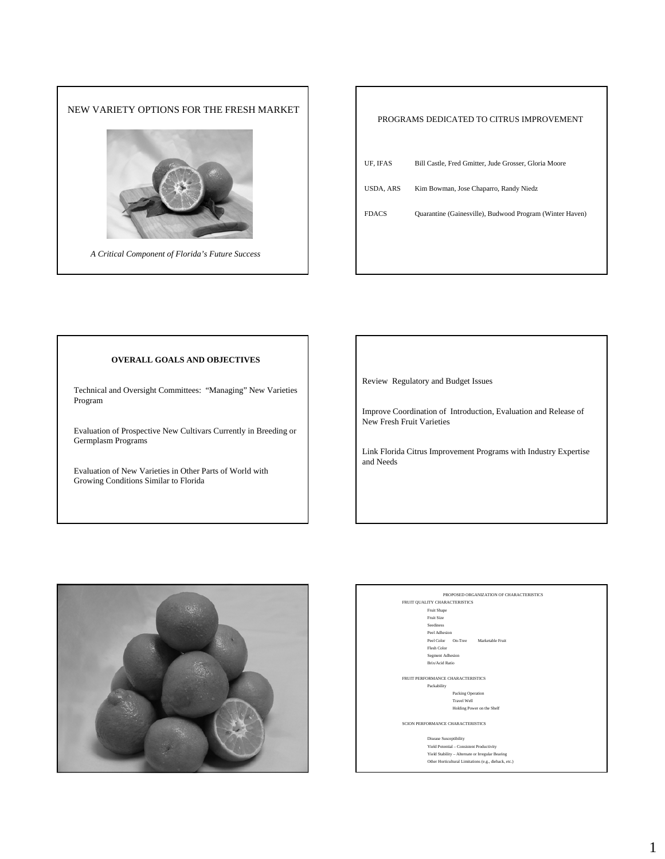

| PROGRAMS DEDICATED TO CITRUS IMPROVEMENT |                                                          |  |  |
|------------------------------------------|----------------------------------------------------------|--|--|
| UF, IFAS                                 | Bill Castle, Fred Gmitter, Jude Grosser, Gloria Moore    |  |  |
| <b>USDA, ARS</b>                         | Kim Bowman, Jose Chaparro, Randy Niedz                   |  |  |
| <b>FDACS</b>                             | Quarantine (Gainesville), Budwood Program (Winter Haven) |  |  |
|                                          |                                                          |  |  |

### **OVERALL GOALS AND OBJECTIVES**

Technical and Oversight Committees: "Managing" New Varieties Program

Evaluation of Prospective New Cultivars Currently in Breeding or Germplasm Programs

Evaluation of New Varieties in Other Parts of World with Growing Conditions Similar to Florida

Review Regulatory and Budget Issues

 $\Gamma$ 

Improve Coordination of Introduction, Evaluation and Release of New Fresh Fruit Varieties

Link Florida Citrus Improvement Programs with Industry Expertise and Needs



PROPOSED ORGANIZATION OF CHARACTERISTICS FRUIT QUALITY CHARACTERISTICS Fruit Shape

Fruit Size Seediness Peel Adhesion

Peel Color On-Tree Marketable Fruit Flesh Color

Segment Adhesion Brix/Acid Ratio

FRUIT PERFORMANCE CHARACTERISTICS Packability Packing Operatio Travel Well Holding Power on the Shelf

SCION PERFORMANCE CHARACTERISTICS

Disease Susceptibility Yield Potential – Consistent Productivity Yield Stability – Alternate or Irregular Bearing Other Horticultural Limitations (e.g., dieback, etc.)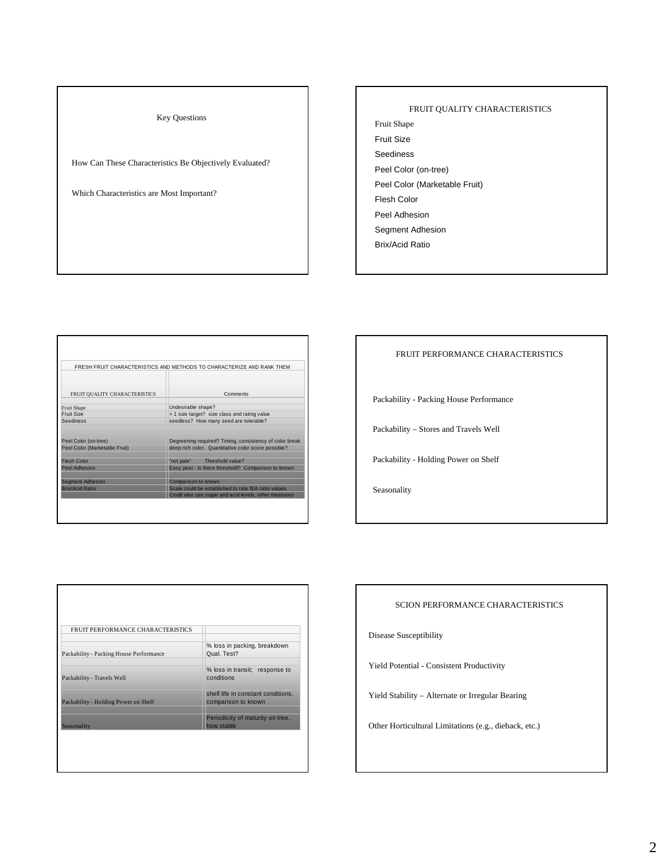Key Questions

How Can These Characteristics Be Objectively Evaluated?

Which Characteristics are Most Important?

#### FRUIT QUALITY CHARACTERISTICS

Fruit Shape Fruit Size

- Seediness Peel Color (on-tree)
- Peel Color (Marketable Fruit)
- Flesh Color
- Peel Adhesion
- Segment Adhesion
- Brix/Acid Ratio

|                               | FRESH FRUIT CHARACTERISTICS AND METHODS TO CHARACTERIZE AND RANK THEM |
|-------------------------------|-----------------------------------------------------------------------|
| FRUIT QUALITY CHARACTERISTICS | Comments                                                              |
| <b>Fruit Shape</b>            | Undesirable shape?                                                    |
| Fruit Size                    | > 1 size target? size class and rating value                          |
| <b>Seediness</b>              | seedless? How many seed are tolerable?                                |
| Peel Color (on-tree)          | Degreening required? Timing, consistency of color break               |
| Peel Color (Marketable Fruit) | deep rich color. Quantitative color score possible?                   |
| <b>Flesh Color</b>            | Threshold value?<br>"not pale"                                        |
| Peel Adhesion                 | Easy peel - Is there threshold? Comparison to known                   |
| <b>Segment Adhesion</b>       | Comparison to known                                                   |
| <b>Brix/Acid Ratio</b>        | Scale could be established to rate B/A ratio values                   |
|                               | Could also use sugar and acid levels, other measures                  |

#### FRUIT PERFORMANCE CHARACTERISTICS

Packability - Packing House Performance

Packability – Stores and Travels Well

Packability - Holding Power on Shelf

Seasonality

| FRUIT PERFORMANCE CHARACTERISTICS       |                                                           |
|-----------------------------------------|-----------------------------------------------------------|
| Packability - Packing House Performance | % loss in packing, breakdown<br>Qual. Test?               |
| Packability - Travels Well              | % loss in transit; response to<br>conditions              |
| Packability - Holding Power on Shelf    | shelf life in constant conditions,<br>comparison to known |
| Seasonality                             | Periodicity of maturity on tree,<br>how stable            |

#### SCION PERFORMANCE CHARACTERISTICS

Disease Susceptibility

Yield Potential - Consistent Productivity

Yield Stability – Alternate or Irregular Bearing

Other Horticultural Limitations (e.g., dieback, etc.)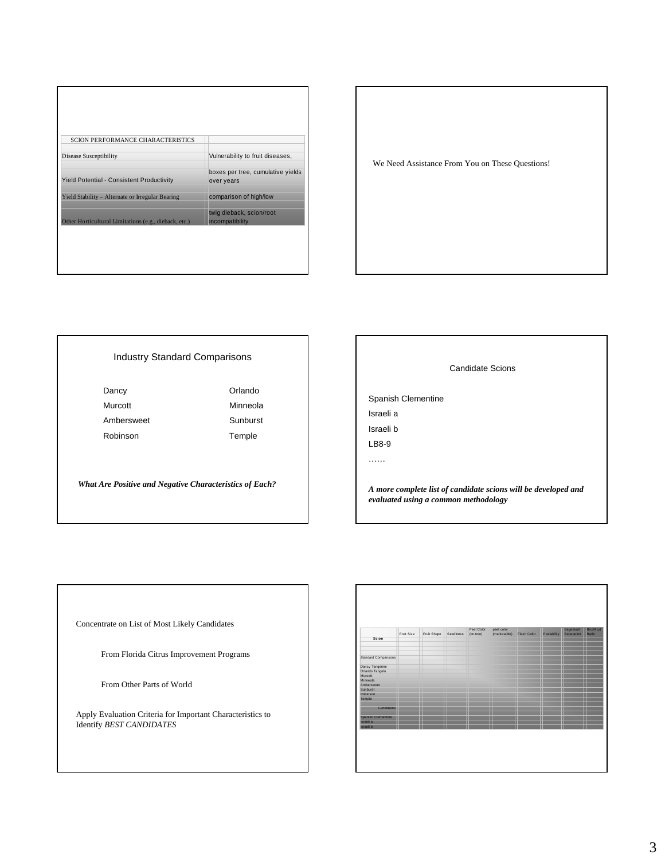| <b>SCION PERFORMANCE CHARACTERISTICS</b>              |                                                 |
|-------------------------------------------------------|-------------------------------------------------|
| <b>Disease Susceptibility</b>                         | Vulnerability to fruit diseases,                |
| Yield Potential - Consistent Productivity             | boxes per tree, cumulative yields<br>over years |
| Yield Stability - Alternate or Irregular Bearing      | comparison of high/low                          |
| Other Horticultural Limitations (e.g., dieback, etc.) | twig dieback, scion/root<br>incompatibility     |
|                                                       |                                                 |
|                                                       |                                                 |
|                                                       |                                                 |



## Industry Standard Comparisons

| Dancy      | Orlando  |
|------------|----------|
| Murcott    | Minneola |
| Ambersweet | Sunburst |
| Robinson   | Temple   |

*What Are Positive and Negative Characteristics of Each?*

# Candidate Scions Spanish Clementine Israeli a Israeli b LB8-9 …… *A more complete list of candidate scions will be developed and evaluated using a common methodology*

Concentrate on List of Most Likely Candidates

From Florida Citrus Improvement Programs

From Other Parts of World

Apply Evaluation Criteria for Important Characteristics to Identify *BEST CANDIDATES*